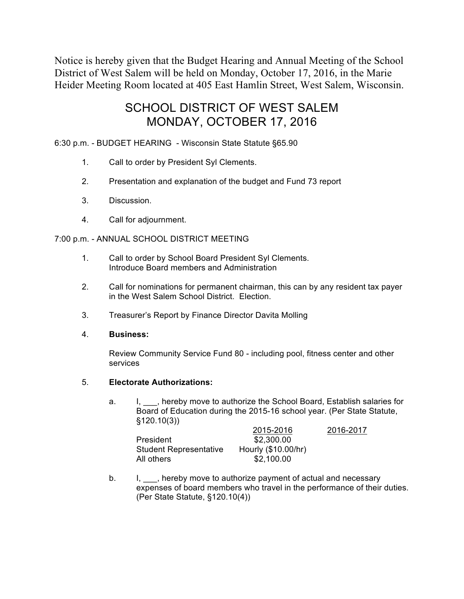Notice is hereby given that the Budget Hearing and Annual Meeting of the School District of West Salem will be held on Monday, October 17, 2016, in the Marie Heider Meeting Room located at 405 East Hamlin Street, West Salem, Wisconsin.

## SCHOOL DISTRICT OF WEST SALEM MONDAY, OCTOBER 17, 2016

6:30 p.m. - BUDGET HEARING - Wisconsin State Statute §65.90

- 1. Call to order by President Syl Clements.
- 2. Presentation and explanation of the budget and Fund 73 report
- 3. Discussion.
- 4. Call for adjournment.

## 7:00 p.m. - ANNUAL SCHOOL DISTRICT MEETING

- 1. Call to order by School Board President Syl Clements. Introduce Board members and Administration
- 2. Call for nominations for permanent chairman, this can by any resident tax payer in the West Salem School District. Election.
- 3. Treasurer's Report by Finance Director Davita Molling

## 4. **Business:**

Review Community Service Fund 80 - including pool, fitness center and other services

## 5. **Electorate Authorizations:**

a. I, \_\_, hereby move to authorize the School Board, Establish salaries for Board of Education during the 2015-16 school year. (Per State Statute, §120.10(3))

|                               | 2015-2016           | 2016-2017 |
|-------------------------------|---------------------|-----------|
| President                     | \$2,300.00          |           |
| <b>Student Representative</b> | Hourly (\$10.00/hr) |           |
| All others                    | \$2,100.00          |           |

b. I, same hereby move to authorize payment of actual and necessary expenses of board members who travel in the performance of their duties. (Per State Statute, §120.10(4))